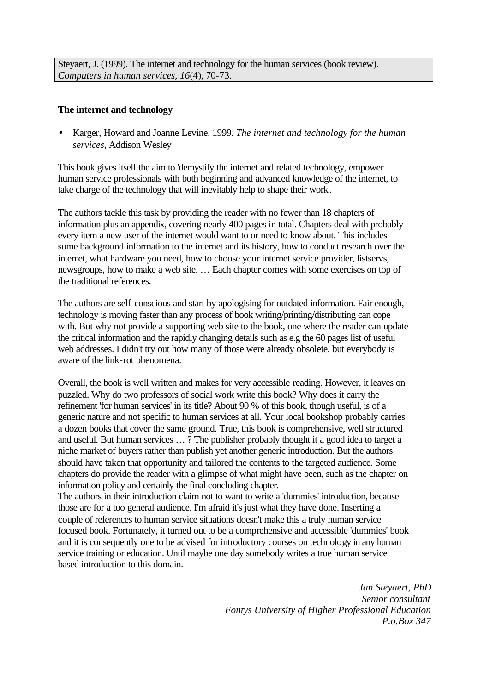Steyaert, J. (1999). The internet and technology for the human services (book review). *Computers in human services, 16*(4), 70-73.

## **The internet and technology**

• Karger, Howard and Joanne Levine. 1999. *The internet and technology for the human services*, Addison Wesley

This book gives itself the aim to 'demystify the internet and related technology, empower human service professionals with both beginning and advanced knowledge of the internet, to take charge of the technology that will inevitably help to shape their work'.

The authors tackle this task by providing the reader with no fewer than 18 chapters of information plus an appendix, covering nearly 400 pages in total. Chapters deal with probably every item a new user of the internet would want to or need to know about. This includes some background information to the internet and its history, how to conduct research over the internet, what hardware you need, how to choose your internet service provider, listservs, newsgroups, how to make a web site, … Each chapter comes with some exercises on top of the traditional references.

The authors are self-conscious and start by apologising for outdated information. Fair enough, technology is moving faster than any process of book writing/printing/distributing can cope with. But why not provide a supporting web site to the book, one where the reader can update the critical information and the rapidly changing details such as e.g the 60 pages list of useful web addresses. I didn't try out how many of those were already obsolete, but everybody is aware of the link-rot phenomena.

Overall, the book is well written and makes for very accessible reading. However, it leaves on puzzled. Why do two professors of social work write this book? Why does it carry the refinement 'for human services' in its title? About 90 % of this book, though useful, is of a generic nature and not specific to human services at all. Your local bookshop probably carries a dozen books that cover the same ground. True, this book is comprehensive, well structured and useful. But human services … ? The publisher probably thought it a good idea to target a niche market of buyers rather than publish yet another generic introduction. But the authors should have taken that opportunity and tailored the contents to the targeted audience. Some chapters do provide the reader with a glimpse of what might have been, such as the chapter on information policy and certainly the final concluding chapter.

The authors in their introduction claim not to want to write a 'dummies' introduction, because those are for a too general audience. I'm afraid it's just what they have done. Inserting a couple of references to human service situations doesn't make this a truly human service focused book. Fortunately, it turned out to be a comprehensive and accessible 'dummies' book and it is consequently one to be advised for introductory courses on technology in any human service training or education. Until maybe one day somebody writes a true human service based introduction to this domain.

> *Jan Steyaert, PhD Senior consultant Fontys University of Higher Professional Education P.o.Box 347*